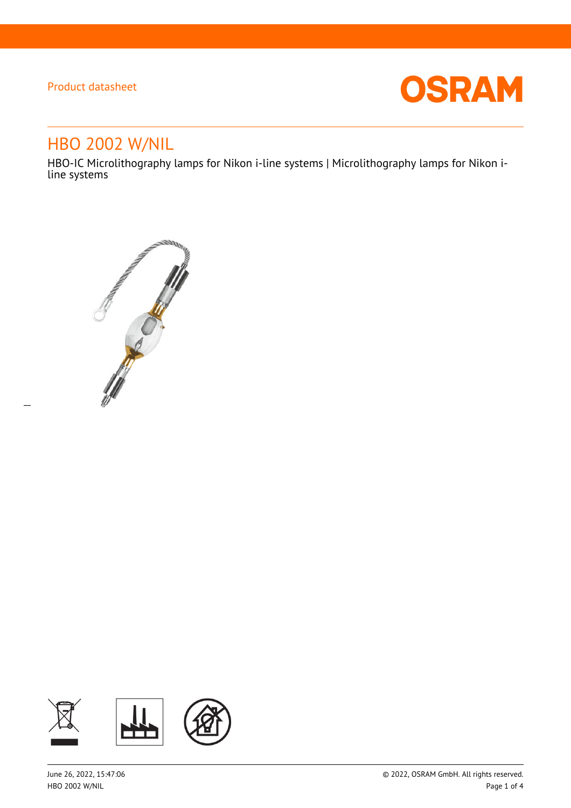$\overline{a}$ 



# HBO 2002 W/NIL

HBO-IC Microlithography lamps for Nikon i-line systems | Microlithography lamps for Nikon iline systems



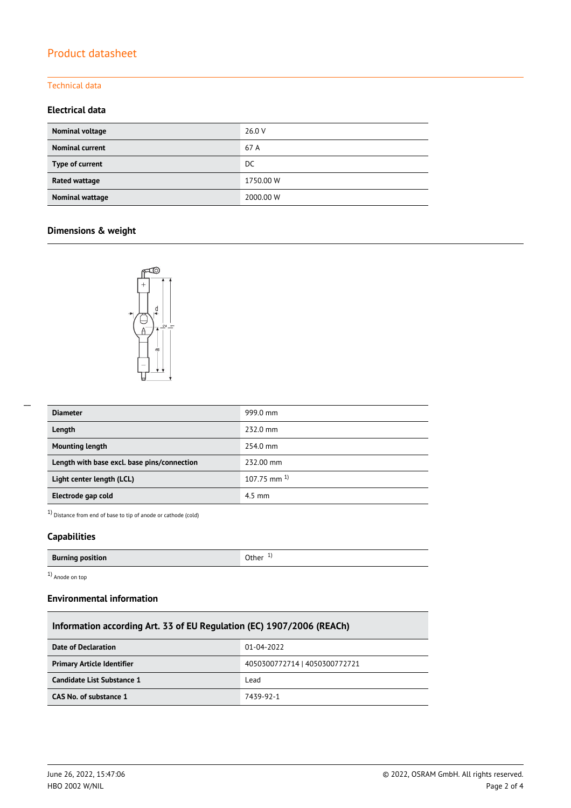### Technical data

### **Electrical data**

| Nominal voltage        | 26.0 V    |
|------------------------|-----------|
| <b>Nominal current</b> | 67 A      |
| Type of current        | DC.       |
| Rated wattage          | 1750.00 W |
| <b>Nominal wattage</b> | 2000.00 W |

## **Dimensions & weight**



| <b>Diameter</b>                             | 999.0 mm           |
|---------------------------------------------|--------------------|
| Length                                      | 232.0 mm           |
| <b>Mounting length</b>                      | 254.0 mm           |
| Length with base excl. base pins/connection | 232.00 mm          |
| Light center length (LCL)                   | $107.75$ mm $^{1}$ |
| Electrode gap cold                          | 4.5 mm             |

1) Distance from end of base to tip of anode or cathode (cold)

### **Capabilities**

| <b>Burning position</b> | .Jther |
|-------------------------|--------|

1) Anode on top

### **Environmental information**

| Information according Art. 33 of EU Regulation (EC) 1907/2006 (REACh) |                               |  |  |
|-----------------------------------------------------------------------|-------------------------------|--|--|
| Date of Declaration                                                   | 01-04-2022                    |  |  |
| <b>Primary Article Identifier</b>                                     | 4050300772714   4050300772721 |  |  |
| Candidate List Substance 1                                            | Lead                          |  |  |
| CAS No. of substance 1                                                | 7439-92-1                     |  |  |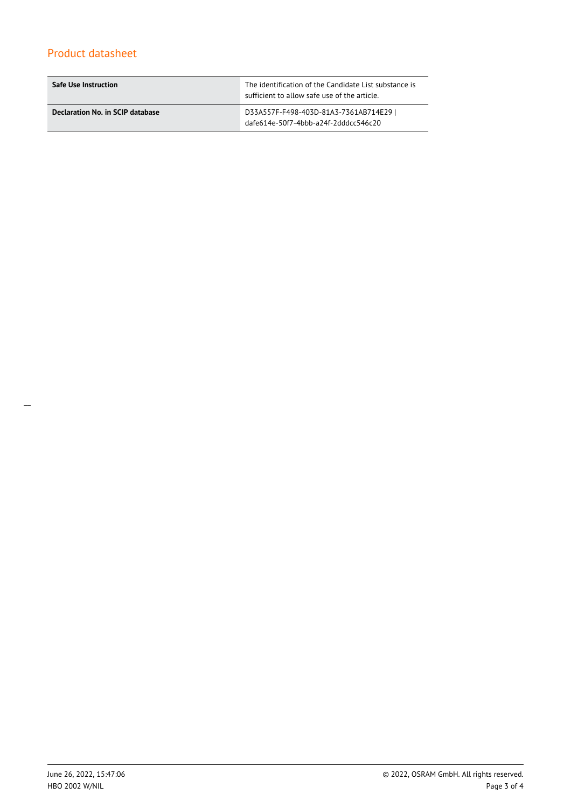| <b>Safe Use Instruction</b>      | The identification of the Candidate List substance is<br>sufficient to allow safe use of the article. |  |
|----------------------------------|-------------------------------------------------------------------------------------------------------|--|
| Declaration No. in SCIP database | D33A557F-F498-403D-81A3-7361AB714E29  <br>dafe614e-50f7-4bbb-a24f-2dddcc546c20                        |  |